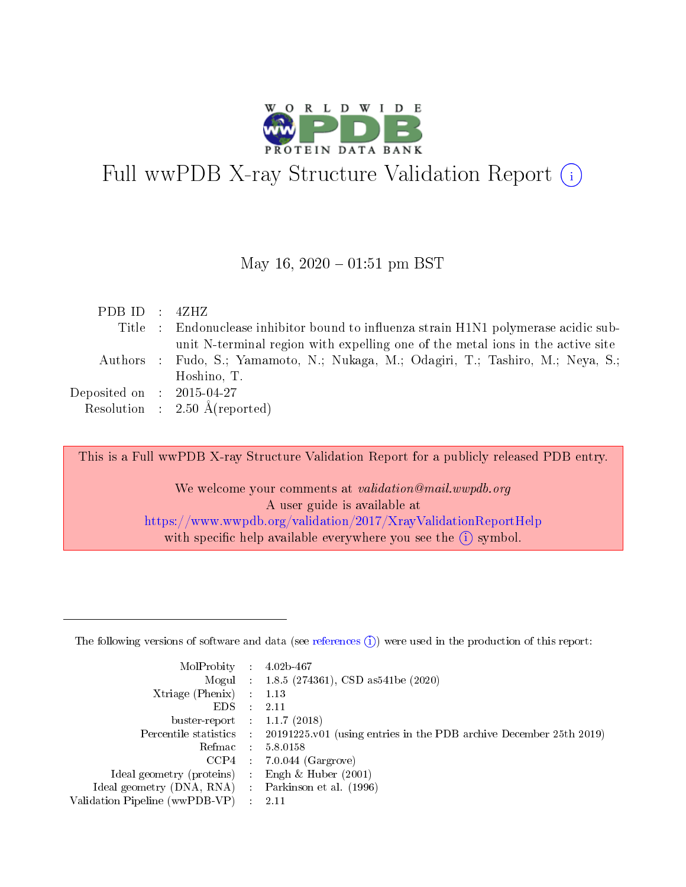

# Full wwPDB X-ray Structure Validation Report  $(i)$

#### May 16,  $2020 - 01:51$  pm BST

| PDB ID : $4ZHZ$             |                                                                                      |
|-----------------------------|--------------------------------------------------------------------------------------|
|                             | Title : Endonuclease inhibitor bound to influenza strain H1N1 polymerase acidic sub- |
|                             | unit N-terminal region with expelling one of the metal ions in the active site       |
|                             | Authors : Fudo, S.; Yamamoto, N.; Nukaga, M.; Odagiri, T.; Tashiro, M.; Neya, S.;    |
|                             | Hoshino, T.                                                                          |
| Deposited on : $2015-04-27$ |                                                                                      |
|                             | Resolution : $2.50 \text{ Å}$ (reported)                                             |

This is a Full wwPDB X-ray Structure Validation Report for a publicly released PDB entry.

We welcome your comments at validation@mail.wwpdb.org A user guide is available at <https://www.wwpdb.org/validation/2017/XrayValidationReportHelp> with specific help available everywhere you see the  $(i)$  symbol.

The following versions of software and data (see [references](https://www.wwpdb.org/validation/2017/XrayValidationReportHelp#references)  $(1)$ ) were used in the production of this report:

| MolProbity :                   |               | $4.02b - 467$                                                               |
|--------------------------------|---------------|-----------------------------------------------------------------------------|
|                                |               | Mogul : $1.8.5$ (274361), CSD as 541be (2020)                               |
| Xtriage (Phenix)               | $\mathcal{L}$ | 1.13                                                                        |
| EDS.                           |               | 2.11                                                                        |
| buster-report : $1.1.7$ (2018) |               |                                                                             |
| Percentile statistics :        |               | $20191225 \text{v}01$ (using entries in the PDB archive December 25th 2019) |
| Refmac :                       |               | 5.8.0158                                                                    |
| CCP4                           |               | $7.0.044$ (Gargrove)                                                        |
| Ideal geometry (proteins) :    |               | Engh $\&$ Huber (2001)                                                      |
| Ideal geometry (DNA, RNA) :    |               | Parkinson et al. (1996)                                                     |
| Validation Pipeline (wwPDB-VP) | $\mathcal{L}$ | 2.11                                                                        |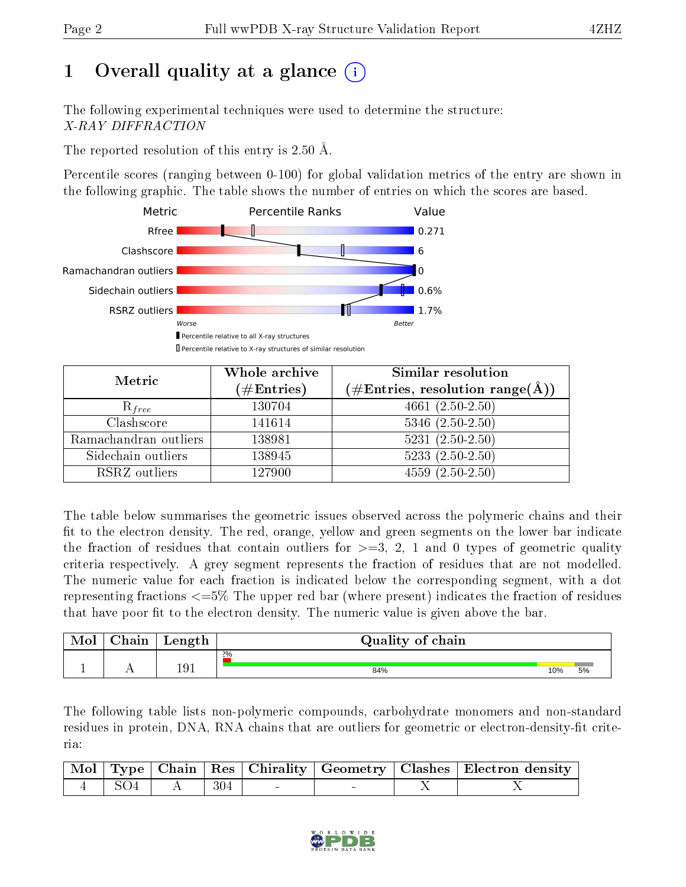# 1 [O](https://www.wwpdb.org/validation/2017/XrayValidationReportHelp#overall_quality)verall quality at a glance  $(i)$

The following experimental techniques were used to determine the structure: X-RAY DIFFRACTION

The reported resolution of this entry is 2.50 Å.

Percentile scores (ranging between 0-100) for global validation metrics of the entry are shown in the following graphic. The table shows the number of entries on which the scores are based.



| Metric                | Whole archive<br>$(\#\text{Entries})$ | Similar resolution<br>$(\#\text{Entries},\,\text{resolution}\,\,\text{range}(\textup{\AA}))$ |
|-----------------------|---------------------------------------|----------------------------------------------------------------------------------------------|
| $R_{free}$            | 130704                                | $4661(2.50-2.50)$                                                                            |
| Clashscore            | 141614                                | $5346$ $(2.50-2.50)$                                                                         |
| Ramachandran outliers | 138981                                | $5231 (2.50 - 2.50)$                                                                         |
| Sidechain outliers    | 138945                                | $5233(2.50-2.50)$                                                                            |
| RSRZ outliers         | 127900                                | $4559(2.50-2.50)$                                                                            |

The table below summarises the geometric issues observed across the polymeric chains and their fit to the electron density. The red, orange, yellow and green segments on the lower bar indicate the fraction of residues that contain outliers for  $>=3, 2, 1$  and 0 types of geometric quality criteria respectively. A grey segment represents the fraction of residues that are not modelled. The numeric value for each fraction is indicated below the corresponding segment, with a dot representing fractions <=5% The upper red bar (where present) indicates the fraction of residues that have poor fit to the electron density. The numeric value is given above the bar.

| <b>NIOI</b> | $\gamma$ hain | Length | Quality of chain |     |    |
|-------------|---------------|--------|------------------|-----|----|
|             |               |        | 2%               |     |    |
|             |               | 191    | 84%              | 10% | 5% |

The following table lists non-polymeric compounds, carbohydrate monomers and non-standard residues in protein, DNA, RNA chains that are outliers for geometric or electron-density-fit criteria:

|  |                 |  | Mol   Type   Chain   Res   Chirality   Geometry   Clashes   Electron density |
|--|-----------------|--|------------------------------------------------------------------------------|
|  | $\frac{304}{ }$ |  |                                                                              |

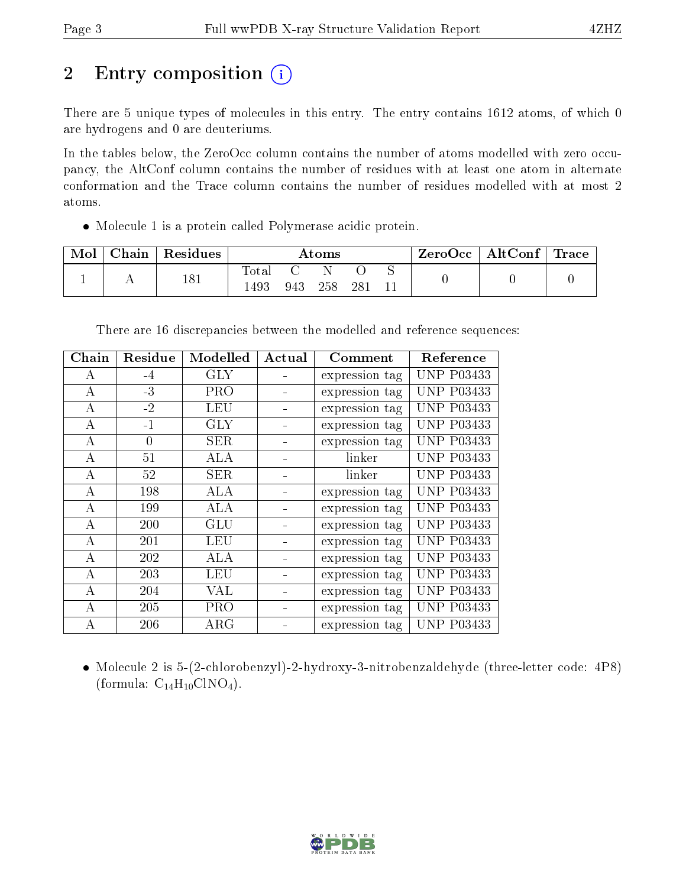# 2 Entry composition (i)

There are 5 unique types of molecules in this entry. The entry contains 1612 atoms, of which 0 are hydrogens and 0 are deuteriums.

In the tables below, the ZeroOcc column contains the number of atoms modelled with zero occupancy, the AltConf column contains the number of residues with at least one atom in alternate conformation and the Trace column contains the number of residues modelled with at most 2 atoms.

Molecule 1 is a protein called Polymerase acidic protein.

| Mol | Chain | $\,$ Residues | Atoms         |     |     | ZeroOcc | $\vert$ AltConf $\vert$ | Trace |  |  |
|-----|-------|---------------|---------------|-----|-----|---------|-------------------------|-------|--|--|
|     |       | 181           | Total<br>1493 | 943 | 258 | 28      |                         |       |  |  |

|  |  | There are 16 discrepancies between the modelled and reference sequences: |
|--|--|--------------------------------------------------------------------------|
|  |  |                                                                          |

| Chain    | Residue  | Modelled   | Actual | Comment        | Reference         |
|----------|----------|------------|--------|----------------|-------------------|
| А        | $-4$     | <b>GLY</b> |        | expression tag | <b>UNP P03433</b> |
| A        | $-3$     | <b>PRO</b> |        | expression tag | <b>UNP P03433</b> |
| A        | $-2$     | LEU        |        | expression tag | <b>UNP P03433</b> |
| А        | $-1$     | <b>GLY</b> |        | expression tag | <b>UNP P03433</b> |
| А        | $\Omega$ | <b>SER</b> |        | expression tag | <b>UNP P03433</b> |
| А        | 51       | ALA        |        | linker         | <b>UNP P03433</b> |
| A        | 52       | <b>SER</b> |        | linker         | <b>UNP P03433</b> |
| А        | 198      | ALA        |        | expression tag | <b>UNP P03433</b> |
| А        | 199      | ALA        |        | expression tag | <b>UNP P03433</b> |
| А        | 200      | <b>GLU</b> |        | expression tag | <b>UNP P03433</b> |
| $\bf{A}$ | 201      | <b>LEU</b> |        | expression tag | <b>UNP P03433</b> |
| A        | 202      | ALA        |        | expression tag | <b>UNP P03433</b> |
| А        | 203      | <b>LEU</b> |        | expression tag | <b>UNP P03433</b> |
| А        | 204      | VAL        |        | expression tag | <b>UNP P03433</b> |
| A        | 205      | <b>PRO</b> |        | expression tag | <b>UNP P03433</b> |
| А        | 206      | $\rm{ARG}$ |        | expression tag | <b>UNP P03433</b> |

 Molecule 2 is 5-(2-chlorobenzyl)-2-hydroxy-3-nitrobenzaldehyde (three-letter code: 4P8) (formula:  $C_{14}H_{10}CINO_4$ ).

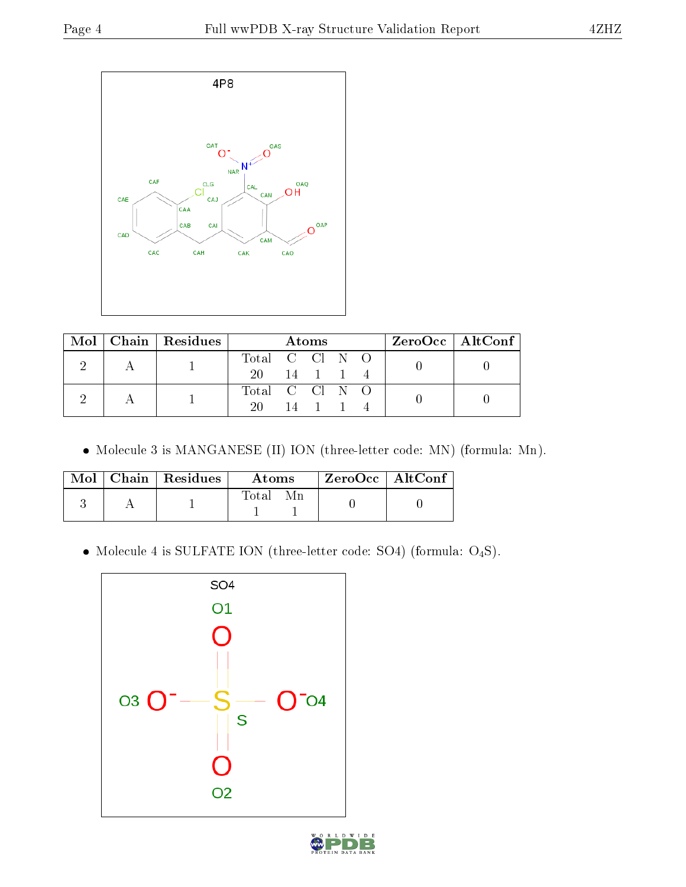

|  | $\text{Mol}$   Chain   Residues | <b>Atoms</b>   |  |                      |  | $ZeroOcc \mid AltConf \mid$ |  |  |
|--|---------------------------------|----------------|--|----------------------|--|-----------------------------|--|--|
|  |                                 | Total C Cl N O |  |                      |  |                             |  |  |
|  |                                 | 20 14 1 1 4    |  |                      |  |                             |  |  |
|  |                                 | Total C Cl N O |  |                      |  |                             |  |  |
|  |                                 | 20.            |  | $14 \quad 1 \quad 1$ |  |                             |  |  |

Molecule 3 is MANGANESE (II) ION (three-letter code: MN) (formula: Mn).

|  | $Mol$   Chain   Residues | A toms | ZeroOcc   AltConf |  |
|--|--------------------------|--------|-------------------|--|
|  |                          | Total  |                   |  |

 $\bullet$  Molecule 4 is SULFATE ION (three-letter code: SO4) (formula:  $\mathrm{O}_4\mathrm{S}) .$ 



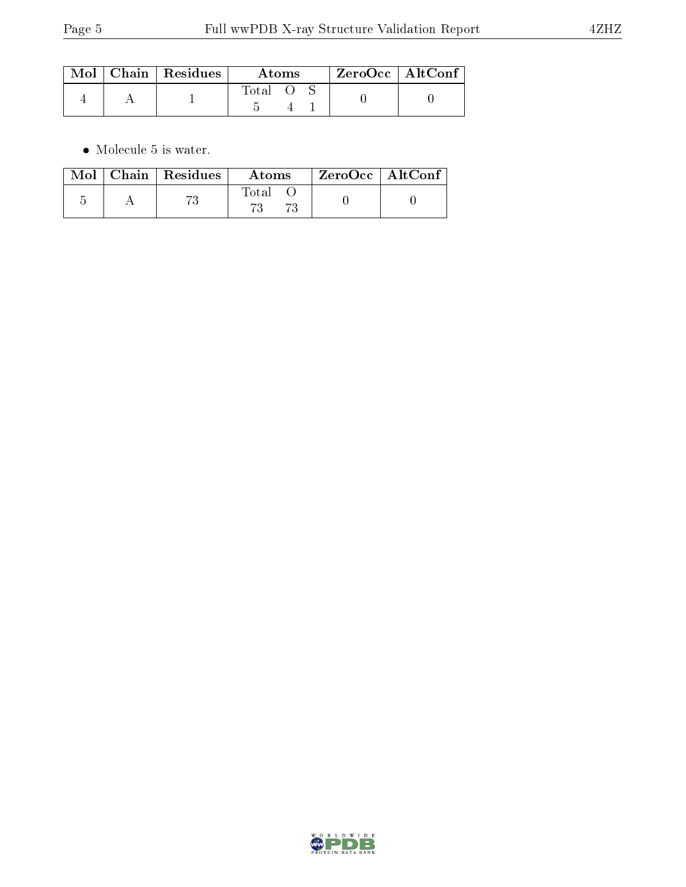|  | $Mol$   Chain   Residues | Atoms |  |  | $ZeroOcc$   AltConf |  |
|--|--------------------------|-------|--|--|---------------------|--|
|  |                          | Total |  |  |                     |  |

 $\bullet\,$  Molecule 5 is water.

|  | $\text{Mol}$   Chain   Residues | Atoms | $\rm{ZeroOcc}$   AltConf |  |
|--|---------------------------------|-------|--------------------------|--|
|  | 70                              | Total |                          |  |

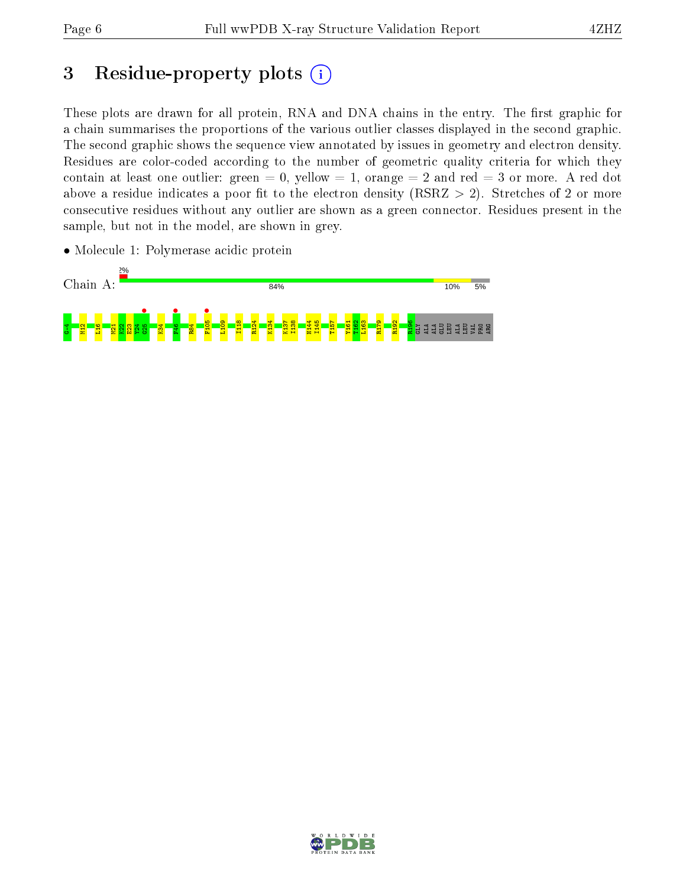## 3 Residue-property plots  $(i)$

These plots are drawn for all protein, RNA and DNA chains in the entry. The first graphic for a chain summarises the proportions of the various outlier classes displayed in the second graphic. The second graphic shows the sequence view annotated by issues in geometry and electron density. Residues are color-coded according to the number of geometric quality criteria for which they contain at least one outlier: green  $= 0$ , yellow  $= 1$ , orange  $= 2$  and red  $= 3$  or more. A red dot above a residue indicates a poor fit to the electron density (RSRZ  $> 2$ ). Stretches of 2 or more consecutive residues without any outlier are shown as a green connector. Residues present in the sample, but not in the model, are shown in grey.



• Molecule 1: Polymerase acidic protein

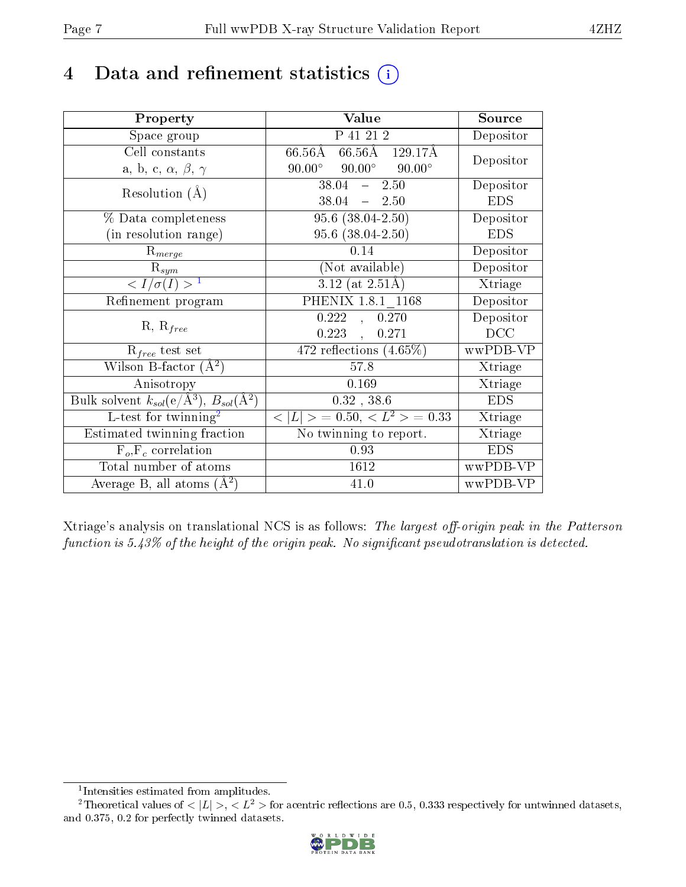## 4 Data and refinement statistics  $(i)$

| Property                                                                 | Value                                            | Source     |
|--------------------------------------------------------------------------|--------------------------------------------------|------------|
| Space group                                                              | P 41 21 2                                        | Depositor  |
| Cell constants                                                           | 66.56Å 129.17Å<br>66.56Å                         |            |
| a, b, c, $\alpha$ , $\beta$ , $\gamma$                                   | $90.00^{\circ}$ $90.00^{\circ}$<br>$90.00^\circ$ | Depositor  |
| Resolution $(A)$                                                         | $38.04 - 2.50$                                   | Depositor  |
|                                                                          | $38.04 - 2.50$                                   | <b>EDS</b> |
| % Data completeness                                                      | $95.6(38.04-2.50)$                               | Depositor  |
| (in resolution range)                                                    | $95.6$ $(38.04 - 2.50)$                          | <b>EDS</b> |
| $R_{merge}$                                                              | 0.14                                             | Depositor  |
| $\mathrm{R}_{sym}$                                                       | (Not available)                                  | Depositor  |
| $\langle I/\sigma(I) \rangle^{-1}$                                       | $3.12$ (at 2.51Å)                                | Xtriage    |
| Refinement program                                                       | PHENIX 1.8.1 1168                                | Depositor  |
| $R, R_{free}$                                                            | 0.222<br>0.270<br>$\overline{\mathcal{L}}$       | Depositor  |
|                                                                          | $0.223$ ,<br>0.271                               | DCC        |
| $R_{free}$ test set                                                      | 472 reflections $(4.65\%)$                       | wwPDB-VP   |
| Wilson B-factor $(A^2)$                                                  | 57.8                                             | Xtriage    |
| Anisotropy                                                               | 0.169                                            | Xtriage    |
| Bulk solvent $k_{sol}(\mathrm{e}/\mathrm{A}^3),$ $B_{sol}(\mathrm{A}^2)$ | $0.32$ , 38.6                                    | <b>EDS</b> |
| L-test for twinning <sup>2</sup>                                         | $< L >$ = 0.50, $< L2$ = 0.33                    | Xtriage    |
| Estimated twinning fraction                                              | $\overline{\text{No}}$ twinning to report.       | Xtriage    |
| $F_o, F_c$ correlation                                                   | 0.93                                             | <b>EDS</b> |
| Total number of atoms                                                    | 1612                                             | wwPDB-VP   |
| Average B, all atoms $(A^2)$                                             | 41.0                                             | wwPDB-VP   |

Xtriage's analysis on translational NCS is as follows: The largest off-origin peak in the Patterson function is  $5.43\%$  of the height of the origin peak. No significant pseudotranslation is detected.

<sup>&</sup>lt;sup>2</sup>Theoretical values of  $\langle |L| \rangle$ ,  $\langle L^2 \rangle$  for acentric reflections are 0.5, 0.333 respectively for untwinned datasets, and 0.375, 0.2 for perfectly twinned datasets.



<span id="page-6-1"></span><span id="page-6-0"></span><sup>1</sup> Intensities estimated from amplitudes.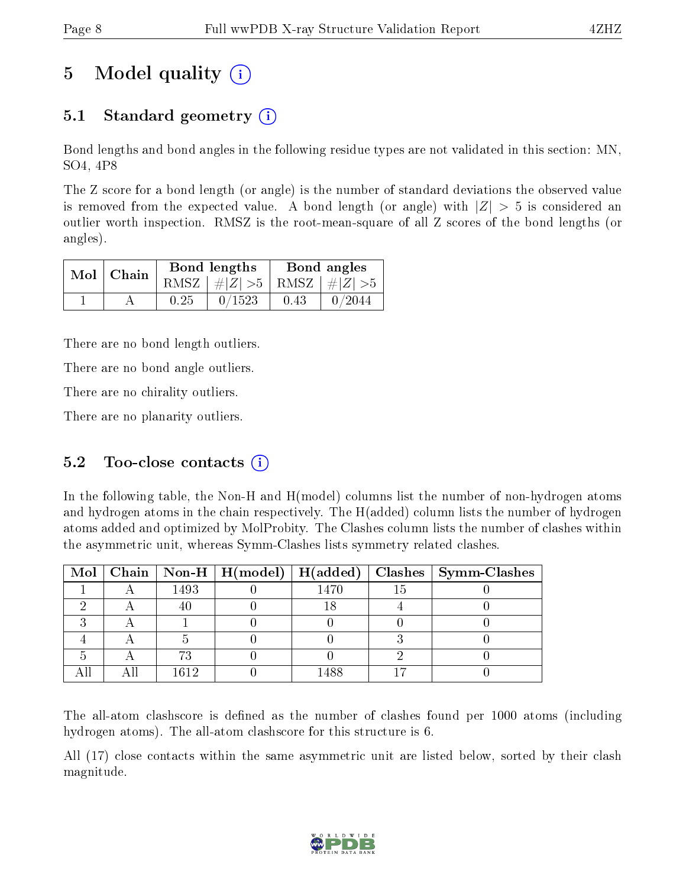# 5 Model quality  $(i)$

### 5.1 Standard geometry  $(i)$

Bond lengths and bond angles in the following residue types are not validated in this section: MN, SO4, 4P8

The Z score for a bond length (or angle) is the number of standard deviations the observed value is removed from the expected value. A bond length (or angle) with  $|Z| > 5$  is considered an outlier worth inspection. RMSZ is the root-mean-square of all Z scores of the bond lengths (or angles).

| $Mol$   Chain |      | Bond lengths                    |      | Bond angles |
|---------------|------|---------------------------------|------|-------------|
|               |      | RMSZ $ #Z  > 5$ RMSZ $ #Z  > 5$ |      |             |
|               | 0.25 | 0/1523                          | 0.43 | 0/2044      |

There are no bond length outliers.

There are no bond angle outliers.

There are no chirality outliers.

There are no planarity outliers.

### 5.2 Too-close contacts  $(i)$

In the following table, the Non-H and H(model) columns list the number of non-hydrogen atoms and hydrogen atoms in the chain respectively. The H(added) column lists the number of hydrogen atoms added and optimized by MolProbity. The Clashes column lists the number of clashes within the asymmetric unit, whereas Symm-Clashes lists symmetry related clashes.

|  |      |      | Mol   Chain   Non-H   H(model)   H(added)   Clashes   Symm-Clashes |
|--|------|------|--------------------------------------------------------------------|
|  | 1493 | 1470 |                                                                    |
|  |      |      |                                                                    |
|  |      |      |                                                                    |
|  |      |      |                                                                    |
|  |      |      |                                                                    |
|  | 1612 | 1488 |                                                                    |

The all-atom clashscore is defined as the number of clashes found per 1000 atoms (including hydrogen atoms). The all-atom clashscore for this structure is 6.

All (17) close contacts within the same asymmetric unit are listed below, sorted by their clash magnitude.

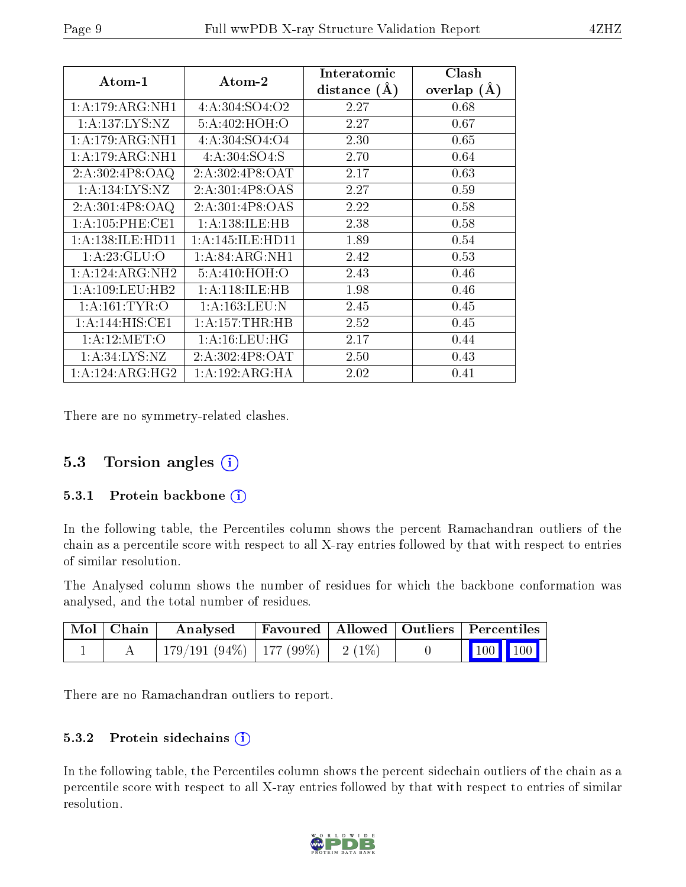| Atom-1               | Atom-2             | Interatomic    | Clash          |
|----------------------|--------------------|----------------|----------------|
|                      |                    | distance $(A)$ | overlap<br>(A) |
| 1: A:179: ARG: NH1   | 4:A:304:SO4:O2     | 2.27           | 0.68           |
| 1: A: 137: LYS: NZ   | 5:A:402:HOH:O      | 2.27           | 0.67           |
| 1: A:179: ARG: NH1   | 4:A:304:SO4:O4     | 2.30           | 0.65           |
| 1: A:179: ARG: NH1   | 4:A:304:SO4:S      | 2.70           | 0.64           |
| 2:A:302:4P8:OAQ      | 2:A:302:4P8:OAT    | 2.17           | 0.63           |
| 1: A: 134: LYS: NZ   | 2:A:301:4P8:OAS    | 2.27           | 0.59           |
| 2:A:301:4P8:OAQ      | 2:A:301:4P8:OAS    | 2.22           | 0.58           |
| 1: A:105: PHE:CE1    | 1:A:138:ILE:HB     | 2.38           | 0.58           |
| 1: A: 138: ILE: HD11 | 1:A:145:ILE:HD11   | 1.89           | 0.54           |
| 1:A:23:GLU:O         | 1: A:84: ARG:NH1   | 2.42           | 0.53           |
| 1:A:124:ARG:NH2      | 5: A:410:HOH:O     | 2.43           | 0.46           |
| 1: A: 109: LEU: HB2  | 1: A:118: ILE: HB  | 1.98           | 0.46           |
| 1: A: 161: TYR: O    | 1: A: 163: LEU: N  | 2.45           | 0.45           |
| 1:A:144:HIS:CE1      | 1: A: 157: THR: HB | 2.52           | 0.45           |
| 1:A:12:MET:O         | 1: A:16:LEU:HG     | 2.17           | 0.44           |
| 1: A:34: LYS:NZ      | 2:A:302:4P8:OAT    | 2.50           | 0.43           |
| 1:A:124:ARG:HG2      | 1:A:192:ARG:HA     | 2.02           | 0.41           |

There are no symmetry-related clashes.

### 5.3 Torsion angles  $(i)$

#### 5.3.1 Protein backbone  $(i)$

In the following table, the Percentiles column shows the percent Ramachandran outliers of the chain as a percentile score with respect to all X-ray entries followed by that with respect to entries of similar resolution.

The Analysed column shows the number of residues for which the backbone conformation was analysed, and the total number of residues.

| $\mid$ Mol $\mid$ Chain $\mid$ | Analysed Favoured   Allowed   Outliers   Percentiles |  |                 |  |
|--------------------------------|------------------------------------------------------|--|-----------------|--|
|                                | 179/191 (94%)   177 (99%)   2 (1%)                   |  | $\vert$ 100 100 |  |

There are no Ramachandran outliers to report.

#### 5.3.2 Protein sidechains (i)

In the following table, the Percentiles column shows the percent sidechain outliers of the chain as a percentile score with respect to all X-ray entries followed by that with respect to entries of similar resolution.

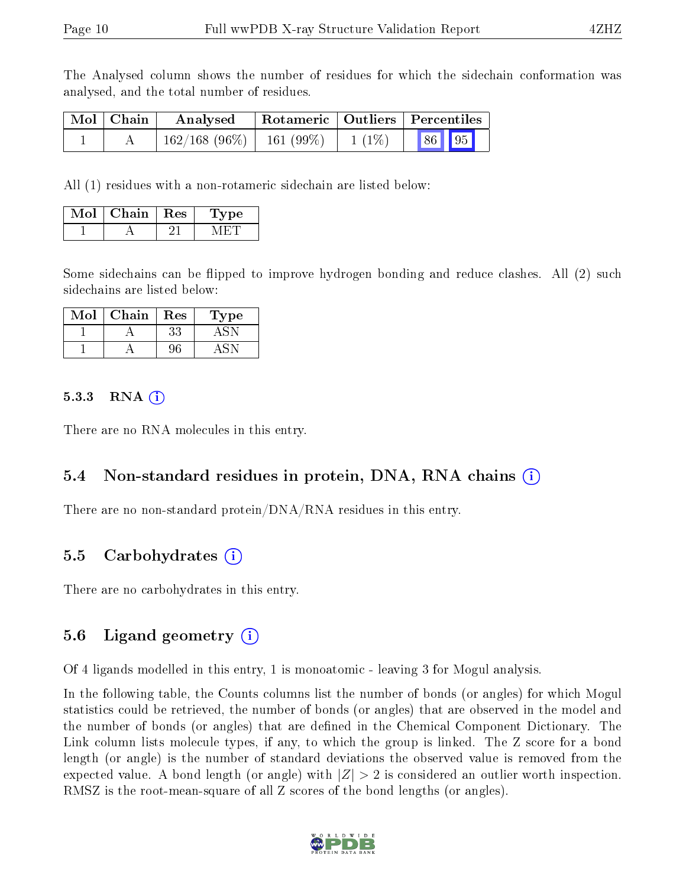The Analysed column shows the number of residues for which the sidechain conformation was analysed, and the total number of residues.

| Mol   Chain | $\boldsymbol{\mathrm{Analysed}}$                  | Rotameric   Outliers   Percentiles |  |  |  |
|-------------|---------------------------------------------------|------------------------------------|--|--|--|
|             | $162/168$ (96\%)   161 (99\%)   1 (1\%)   86   95 |                                    |  |  |  |

All (1) residues with a non-rotameric sidechain are listed below:

| Mol | Chain | $\sim$ Res | vpe |
|-----|-------|------------|-----|
|     |       |            |     |

Some sidechains can be flipped to improve hydrogen bonding and reduce clashes. All (2) such sidechains are listed below:

| Mol | Chain | <b>Res</b> | Type |
|-----|-------|------------|------|
|     |       | 33         |      |
|     |       |            |      |

#### 5.3.3 RNA  $(i)$

There are no RNA molecules in this entry.

### 5.4 Non-standard residues in protein, DNA, RNA chains (i)

There are no non-standard protein/DNA/RNA residues in this entry.

### 5.5 Carbohydrates (i)

There are no carbohydrates in this entry.

### 5.6 Ligand geometry  $(i)$

Of 4 ligands modelled in this entry, 1 is monoatomic - leaving 3 for Mogul analysis.

In the following table, the Counts columns list the number of bonds (or angles) for which Mogul statistics could be retrieved, the number of bonds (or angles) that are observed in the model and the number of bonds (or angles) that are dened in the Chemical Component Dictionary. The Link column lists molecule types, if any, to which the group is linked. The Z score for a bond length (or angle) is the number of standard deviations the observed value is removed from the expected value. A bond length (or angle) with  $|Z| > 2$  is considered an outlier worth inspection. RMSZ is the root-mean-square of all Z scores of the bond lengths (or angles).

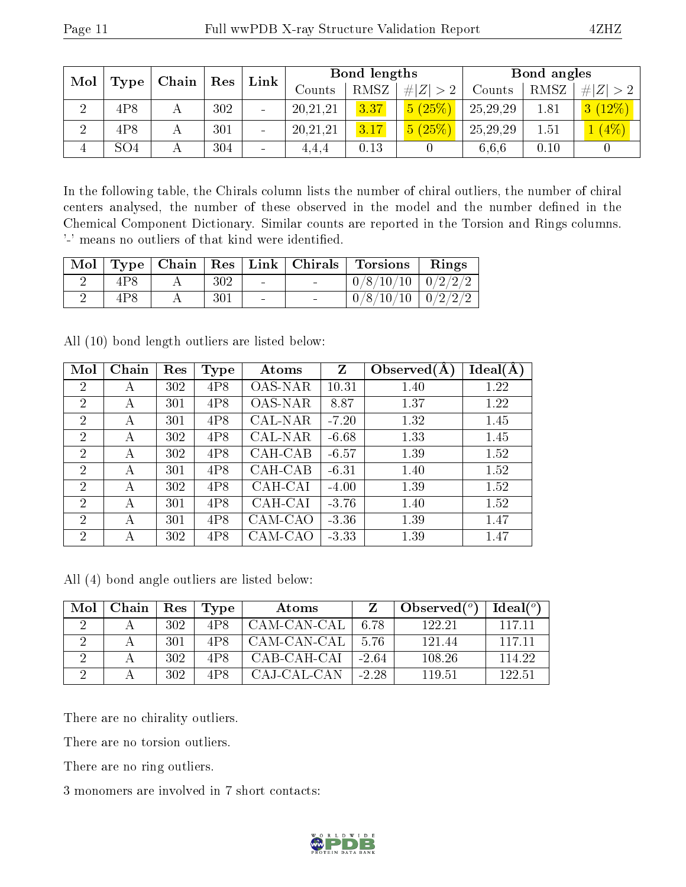| Mol<br>Type | $\mathbf{Chain}^+$ | ${\rm Res}$ |     |                          | Link       |      | Bond lengths |          |      | Bond angles |  |
|-------------|--------------------|-------------|-----|--------------------------|------------|------|--------------|----------|------|-------------|--|
|             |                    |             |     |                          | Counts     | RMSZ | # $ Z  > 2$  | Counts   | RMSZ | # $ Z  > 2$ |  |
|             | 4P8                |             | 302 | $\overline{\phantom{a}}$ | 20, 21, 21 | 3.37 | 5(25%)       | 25,29,29 | 1.81 | 3(12%)      |  |
| $\Omega$    | 4P8                |             | 301 | $\qquad \qquad$          | 20, 21, 21 | 3.17 | 5(25%)       | 25,29,29 | 1.51 | $(4\%)$     |  |
| 4           | SO <sub>4</sub>    |             | 304 | $\qquad \qquad$          | 4,4,4      | 0.13 |              | 6.6.6    | 0.10 |             |  |

In the following table, the Chirals column lists the number of chiral outliers, the number of chiral centers analysed, the number of these observed in the model and the number defined in the Chemical Component Dictionary. Similar counts are reported in the Torsion and Rings columns. '-' means no outliers of that kind were identified.

|      |     |        | Mol   Type   Chain   Res   Link   Chirals   Torsions   Rings |  |
|------|-----|--------|--------------------------------------------------------------|--|
|      | 302 |        | $0/8/10/10$ 0/2/2/2                                          |  |
| 4P 8 | 301 | $\sim$ | $0/8/10/10$   $0/2/2/2$                                      |  |

All (10) bond length outliers are listed below:

| Mol            | Chain | Res | <b>Type</b> | Atoms          | Z       | Observed $(A)$ | Ideal(A) |
|----------------|-------|-----|-------------|----------------|---------|----------------|----------|
| $\overline{2}$ | А     | 302 | 4P8         | <b>OAS-NAR</b> | 10.31   | 1.40           | 1.22     |
| $\overline{2}$ | А     | 301 | 4P8         | OAS-NAR        | 8.87    | 1.37           | 1.22     |
| $\overline{2}$ | А     | 301 | 4P8         | CAL-NAR        | $-7.20$ | 1.32           | 1.45     |
| $\overline{2}$ | А     | 302 | 4P8         | CAL-NAR        | $-6.68$ | 1.33           | 1.45     |
| $\overline{2}$ | А     | 302 | 4P8         | CAH-CAB        | $-6.57$ | 1.39           | 1.52     |
| $\overline{2}$ | А     | 301 | 4P8         | CAH-CAB        | $-6.31$ | 1.40           | 1.52     |
| $\overline{2}$ | А     | 302 | 4P8         | CAH-CAI        | $-4.00$ | 1.39           | 1.52     |
| $\overline{2}$ | А     | 301 | 4P8         | CAH-CAI        | $-3.76$ | 1.40           | 1.52     |
| $\overline{2}$ | А     | 301 | 4P8         | CAM-CAO        | $-3.36$ | 1.39           | 1.47     |
| $\overline{2}$ | А     | 302 | 4P8         | CAM-CAO        | $-3.33$ | 1.39           | 1.47     |

All (4) bond angle outliers are listed below:

| Mol | Chain | Res  | Type            | Atoms       |         | Observed( $^o$ ) | Ideal $(^\circ)$ |
|-----|-------|------|-----------------|-------------|---------|------------------|------------------|
|     |       | 302  | 4P8             | CAM-CAN-CAL | 6.78    | 122.21           | 117 11           |
|     |       | -301 | 4P8             | CAM-CAN-CAL | 5.76    | 121.44           | 117 11           |
|     |       | 302  | 4P8             | CAB-CAH-CAI | $-2.64$ | 108.26           | 114.22           |
|     |       | 302  | 4P <sub>8</sub> | CAJ-CAL-CAN | $-2.28$ | 119.51           | 122.51           |

There are no chirality outliers.

There are no torsion outliers.

There are no ring outliers.

3 monomers are involved in 7 short contacts:

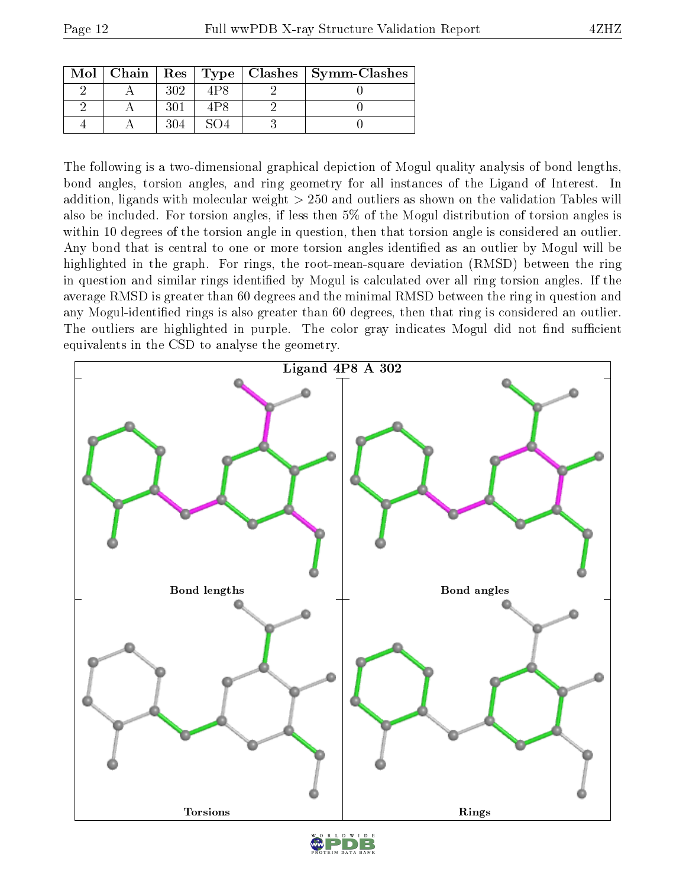| Mol |     |     | Chain   Res   Type   Clashes   Symm-Clashes |
|-----|-----|-----|---------------------------------------------|
|     | 302 | 4P8 |                                             |
|     |     | 1P8 |                                             |
|     | 304 |     |                                             |

The following is a two-dimensional graphical depiction of Mogul quality analysis of bond lengths, bond angles, torsion angles, and ring geometry for all instances of the Ligand of Interest. In addition, ligands with molecular weight > 250 and outliers as shown on the validation Tables will also be included. For torsion angles, if less then 5% of the Mogul distribution of torsion angles is within 10 degrees of the torsion angle in question, then that torsion angle is considered an outlier. Any bond that is central to one or more torsion angles identified as an outlier by Mogul will be highlighted in the graph. For rings, the root-mean-square deviation (RMSD) between the ring in question and similar rings identified by Mogul is calculated over all ring torsion angles. If the average RMSD is greater than 60 degrees and the minimal RMSD between the ring in question and any Mogul-identied rings is also greater than 60 degrees, then that ring is considered an outlier. The outliers are highlighted in purple. The color gray indicates Mogul did not find sufficient equivalents in the CSD to analyse the geometry.

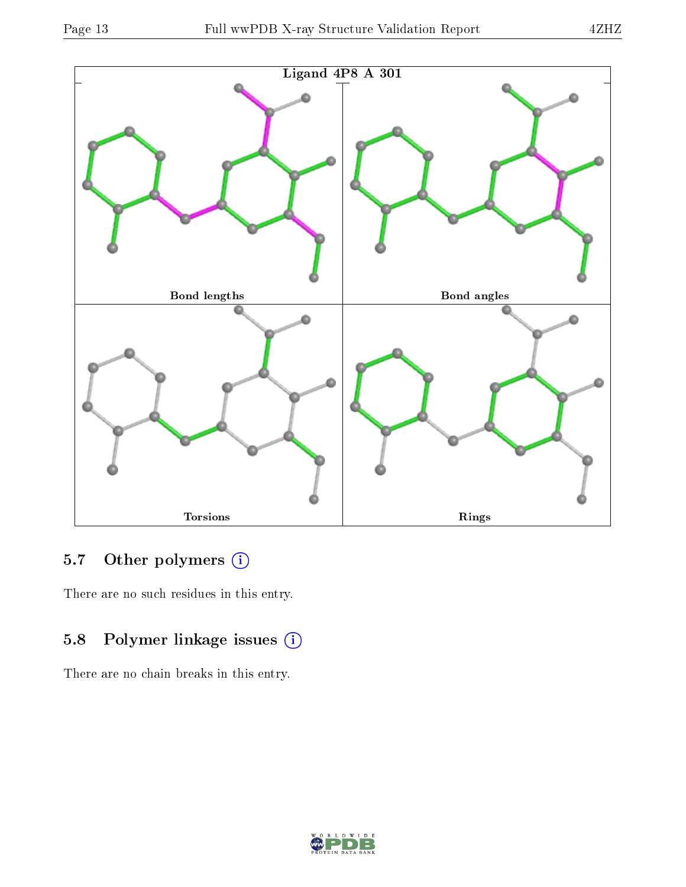

### 5.7 [O](https://www.wwpdb.org/validation/2017/XrayValidationReportHelp#nonstandard_residues_and_ligands)ther polymers (i)

There are no such residues in this entry.

### 5.8 Polymer linkage issues (i)

There are no chain breaks in this entry.

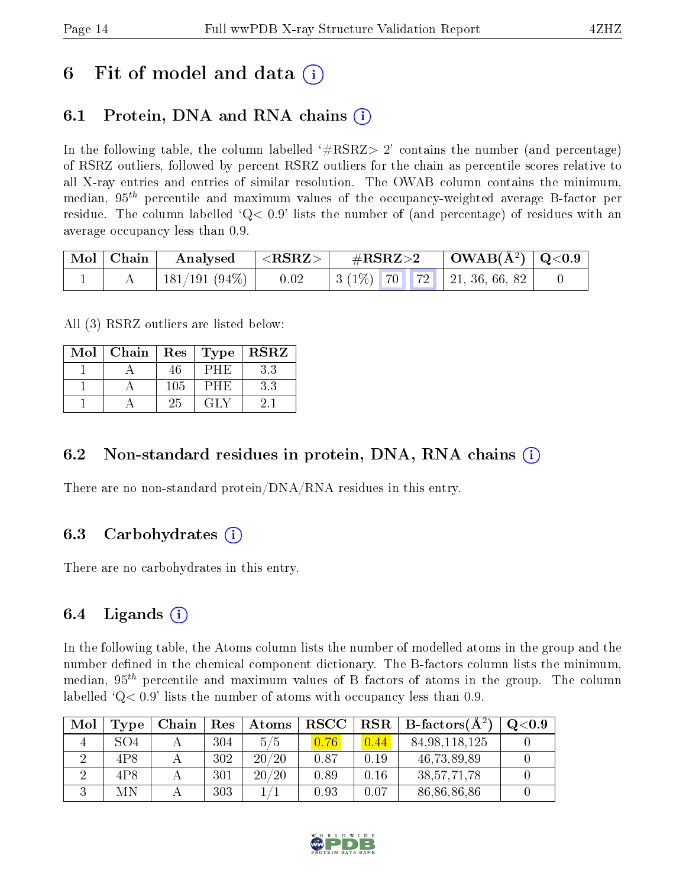## 6 Fit of model and data  $\left( \cdot \right)$

### 6.1 Protein, DNA and RNA chains (i)

In the following table, the column labelled  $#RSRZ>2'$  contains the number (and percentage) of RSRZ outliers, followed by percent RSRZ outliers for the chain as percentile scores relative to all X-ray entries and entries of similar resolution. The OWAB column contains the minimum, median,  $95<sup>th</sup>$  percentile and maximum values of the occupancy-weighted average B-factor per residue. The column labelled  $Q < 0.9$  lists the number of (and percentage) of residues with an average occupancy less than 0.9.

| $\mid$ Mol $\mid$ Chain $\mid$ | $\mid$ Analysed $\mid$ <rsrz> <math>\mid</math></rsrz> |      | $\rm \#RSRZ{>}2$ |  | $\vert$ OWAB(Å <sup>2</sup> ) $\vert$ Q<0.9 $\vert$ |                                                |  |
|--------------------------------|--------------------------------------------------------|------|------------------|--|-----------------------------------------------------|------------------------------------------------|--|
|                                | $\pm$ 181/191 (94%) $\pm$                              | 0.02 |                  |  |                                                     | $\mid 3(1\%)$ 70 72 $\mid 21, 36, 66, 82 \mid$ |  |

All (3) RSRZ outliers are listed below:

| Mol | Chain | Res | $\Gamma$ Type | <b>RSRZ</b> |
|-----|-------|-----|---------------|-------------|
|     |       | 46  | РНЕ           | 3.3         |
|     |       | 105 | PHE)          | $3.3\,$     |
|     |       | 25  | GL V          |             |

### 6.2 Non-standard residues in protein, DNA, RNA chains  $(i)$

There are no non-standard protein/DNA/RNA residues in this entry.

### 6.3 Carbohydrates (i)

There are no carbohydrates in this entry.

### 6.4 Ligands  $(i)$

In the following table, the Atoms column lists the number of modelled atoms in the group and the number defined in the chemical component dictionary. The B-factors column lists the minimum, median,  $95<sup>th</sup>$  percentile and maximum values of B factors of atoms in the group. The column labelled  $Q< 0.9$  lists the number of atoms with occupancy less than 0.9.

| Mol | Type            | Chain | Res | Atoms | <b>RSCC</b> | RSR  | $\perp$ B-factors( $\overline{A^2}$ ) | $\mathrm{O}{<}0.9$ |
|-----|-----------------|-------|-----|-------|-------------|------|---------------------------------------|--------------------|
|     | SO <sub>4</sub> |       | 304 | 5/5   | 0.76        | 0.44 | 84, 98, 118, 125                      |                    |
|     | 4P8             |       | 302 | 20/20 | 0.87        | 0.19 | 46,73,89,89                           |                    |
|     | 4P8             |       | 301 | 20/20 | 0.89        | 0.16 | 38, 57, 71, 78                        |                    |
|     | МN              |       | 303 |       | 0.93        | 0.07 | 86,86,86,86                           |                    |

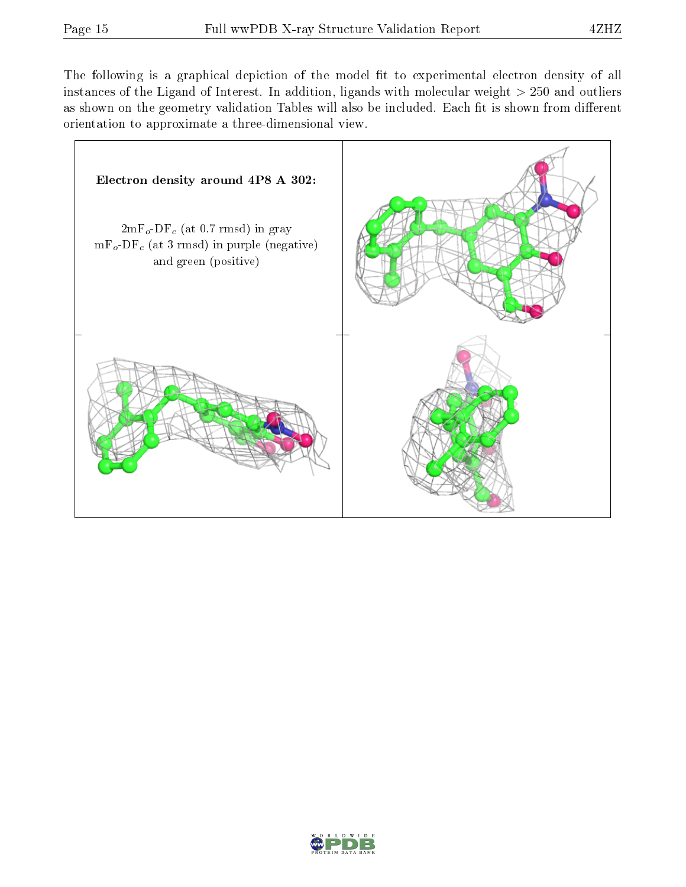The following is a graphical depiction of the model fit to experimental electron density of all instances of the Ligand of Interest. In addition, ligands with molecular weight  $> 250$  and outliers as shown on the geometry validation Tables will also be included. Each fit is shown from different orientation to approximate a three-dimensional view.